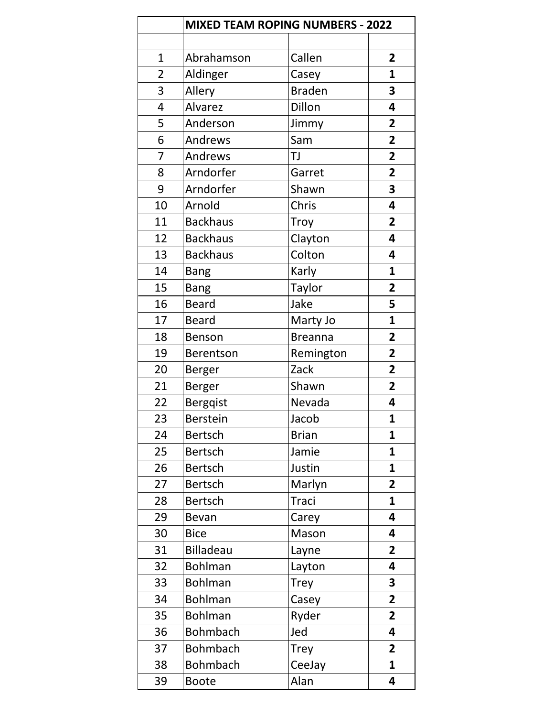|                | <b>MIXED TEAM ROPING NUMBERS - 2022</b> |                |                         |
|----------------|-----------------------------------------|----------------|-------------------------|
|                |                                         |                |                         |
| $\mathbf{1}$   | Abrahamson                              | Callen         | $\overline{2}$          |
| $\overline{2}$ | Aldinger                                | Casey          | $\mathbf{1}$            |
| 3              | Allery                                  | <b>Braden</b>  | 3                       |
| 4              | Alvarez                                 | Dillon         | 4                       |
| 5              | Anderson                                | Jimmy          | $\overline{2}$          |
| 6              | Andrews                                 | Sam            | $\overline{2}$          |
| 7              | Andrews                                 | TJ             | $\overline{2}$          |
| 8              | Arndorfer                               | Garret         | $\overline{2}$          |
| 9              | Arndorfer                               | Shawn          | 3                       |
| 10             | Arnold                                  | Chris          | 4                       |
| 11             | <b>Backhaus</b>                         | <b>Troy</b>    | $\overline{2}$          |
| 12             | <b>Backhaus</b>                         | Clayton        | 4                       |
| 13             | <b>Backhaus</b>                         | Colton         | 4                       |
| 14             | <b>Bang</b>                             | Karly          | 1                       |
| 15             | <b>Bang</b>                             | Taylor         | $\overline{\mathbf{2}}$ |
| 16             | <b>Beard</b>                            | Jake           | 5                       |
| 17             | <b>Beard</b>                            | Marty Jo       | 1                       |
| 18             | <b>Benson</b>                           | <b>Breanna</b> | $\overline{2}$          |
| 19             | <b>Berentson</b>                        | Remington      | $\overline{\mathbf{2}}$ |
| 20             | <b>Berger</b>                           | Zack           | $\overline{2}$          |
| 21             | Berger                                  | Shawn          | $\overline{2}$          |
| 22             | <b>Bergqist</b>                         | Nevada         | 4                       |
| 23             | <b>Berstein</b>                         | Jacob          | 1                       |
| 24             | <b>Bertsch</b>                          | <b>Brian</b>   | 1                       |
| 25             | <b>Bertsch</b>                          | Jamie          | 1                       |
| 26             | <b>Bertsch</b>                          | Justin         | $\mathbf{1}$            |
| 27             | <b>Bertsch</b>                          | Marlyn         | $\overline{2}$          |
| 28             | <b>Bertsch</b>                          | <b>Traci</b>   | 1                       |
| 29             | Bevan                                   | Carey          | 4                       |
| 30             | <b>Bice</b>                             | Mason          | 4                       |
| 31             | <b>Billadeau</b>                        | Layne          | $\overline{2}$          |
| 32             | <b>Bohlman</b>                          | Layton         | 4                       |
| 33             | <b>Bohlman</b>                          | <b>Trey</b>    | 3                       |
| 34             | <b>Bohlman</b>                          | Casey          | $\overline{2}$          |
| 35             | <b>Bohlman</b>                          | Ryder          | $\overline{2}$          |
| 36             | <b>Bohmbach</b>                         | Jed            | 4                       |
| 37             | <b>Bohmbach</b>                         | <b>Trey</b>    | $\overline{2}$          |
| 38             | <b>Bohmbach</b>                         | CeeJay         | 1                       |
| 39             | <b>Boote</b>                            | Alan           | 4                       |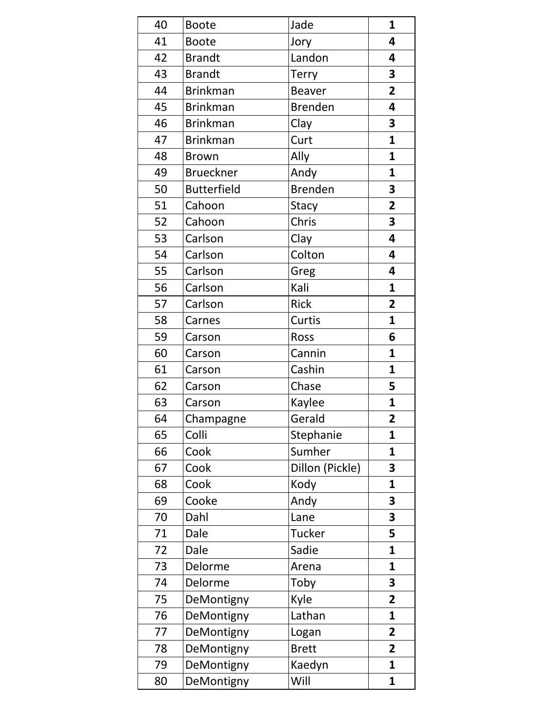| 40 | <b>Boote</b>       | Jade            | $\mathbf{1}$            |
|----|--------------------|-----------------|-------------------------|
| 41 | <b>Boote</b>       | Jory            | 4                       |
| 42 | <b>Brandt</b>      | Landon          | 4                       |
| 43 | <b>Brandt</b>      | <b>Terry</b>    | 3                       |
| 44 | <b>Brinkman</b>    | <b>Beaver</b>   | $\overline{2}$          |
| 45 | <b>Brinkman</b>    | <b>Brenden</b>  | 4                       |
| 46 | <b>Brinkman</b>    | Clay            | 3                       |
| 47 | <b>Brinkman</b>    | Curt            | $\mathbf{1}$            |
| 48 | <b>Brown</b>       | Ally            | $\mathbf{1}$            |
| 49 | <b>Brueckner</b>   | Andy            | 1                       |
| 50 | <b>Butterfield</b> | <b>Brenden</b>  | 3                       |
| 51 | Cahoon             | <b>Stacy</b>    | $\overline{\mathbf{2}}$ |
| 52 | Cahoon             | Chris           | 3                       |
| 53 | Carlson            | Clay            | 4                       |
| 54 | Carlson            | Colton          | 4                       |
| 55 | Carlson            | Greg            | 4                       |
| 56 | Carlson            | Kali            | $\mathbf{1}$            |
| 57 | Carlson            | <b>Rick</b>     | $\overline{2}$          |
| 58 | Carnes             | Curtis          | $\mathbf{1}$            |
| 59 | Carson             | Ross            | 6                       |
| 60 | Carson             | Cannin          | $\mathbf{1}$            |
| 61 | Carson             | Cashin          | $\mathbf{1}$            |
| 62 | Carson             | Chase           | 5                       |
| 63 | Carson             | Kaylee          | $\mathbf{1}$            |
| 64 | Champagne          | Gerald          | 2                       |
| 65 | Colli              | Stephanie       | 1                       |
| 66 | Cook               | Sumher          | $\mathbf{1}$            |
| 67 | Cook               | Dillon (Pickle) | 3                       |
| 68 | Cook               | Kody            | 1                       |
| 69 | Cooke              | Andy            | 3                       |
| 70 | Dahl               | Lane            | 3                       |
| 71 | Dale               | <b>Tucker</b>   | 5                       |
| 72 | Dale               | Sadie           | 1                       |
| 73 | Delorme            | Arena           | 1                       |
| 74 | Delorme            | Toby            | 3                       |
| 75 | DeMontigny         | Kyle            | $\overline{2}$          |
| 76 | DeMontigny         | Lathan          | 1                       |
| 77 | DeMontigny         | Logan           | $\overline{\mathbf{2}}$ |
| 78 | DeMontigny         | <b>Brett</b>    | $\overline{2}$          |
| 79 | DeMontigny         | Kaedyn          | $\mathbf{1}$            |
| 80 | DeMontigny         | Will            | $\mathbf{1}$            |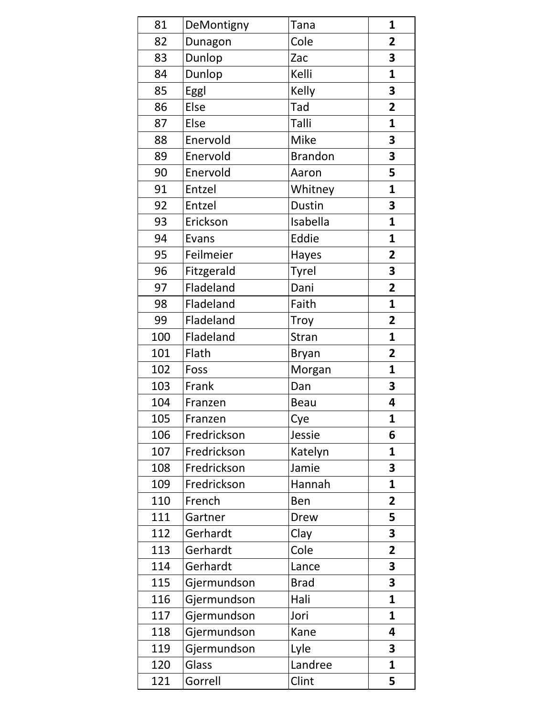| 81  | DeMontigny  | Tana           | $\mathbf{1}$   |
|-----|-------------|----------------|----------------|
| 82  | Dunagon     | Cole           | $\overline{2}$ |
| 83  | Dunlop      | Zac            | 3              |
| 84  | Dunlop      | Kelli          | $\mathbf{1}$   |
| 85  | Eggl        | Kelly          | 3              |
| 86  | Else        | Tad            | $\overline{2}$ |
| 87  | Else        | Talli          | $\mathbf{1}$   |
| 88  | Enervold    | <b>Mike</b>    | 3              |
| 89  | Enervold    | <b>Brandon</b> | 3              |
| 90  | Enervold    | Aaron          | 5              |
| 91  | Entzel      | Whitney        | $\mathbf{1}$   |
| 92  | Entzel      | Dustin         | 3              |
| 93  | Erickson    | Isabella       | $\mathbf{1}$   |
| 94  | Evans       | Eddie          | $\mathbf{1}$   |
| 95  | Feilmeier   | Hayes          | $\overline{2}$ |
| 96  | Fitzgerald  | <b>Tyrel</b>   | 3              |
| 97  | Fladeland   | Dani           | $\overline{2}$ |
| 98  | Fladeland   | Faith          | 1              |
| 99  | Fladeland   | Troy           | $\overline{2}$ |
| 100 | Fladeland   | Stran          | $\mathbf{1}$   |
| 101 | Flath       | Bryan          | $\overline{2}$ |
| 102 | Foss        | Morgan         | $\mathbf{1}$   |
| 103 | Frank       | Dan            | 3              |
| 104 | Franzen     | Beau           | 4              |
| 105 | Franzen     | Cye            | $\mathbf{1}$   |
| 106 | Fredrickson | Jessie         | 6              |
| 107 | Fredrickson | Katelyn        | $\mathbf{1}$   |
| 108 | Fredrickson | Jamie          | 3              |
| 109 | Fredrickson | Hannah         | $\mathbf{1}$   |
| 110 | French      | <b>Ben</b>     | $\overline{2}$ |
| 111 | Gartner     | Drew           | 5              |
| 112 | Gerhardt    | Clay           | 3              |
| 113 | Gerhardt    | Cole           | $\overline{2}$ |
| 114 | Gerhardt    | Lance          | 3              |
| 115 | Gjermundson | <b>Brad</b>    | 3              |
| 116 | Gjermundson | Hali           | $\mathbf{1}$   |
| 117 | Gjermundson | Jori           | 1              |
| 118 | Gjermundson | Kane           | 4              |
| 119 | Gjermundson | Lyle           | 3              |
| 120 | Glass       | Landree        | $\mathbf{1}$   |
| 121 | Gorrell     | Clint          | 5              |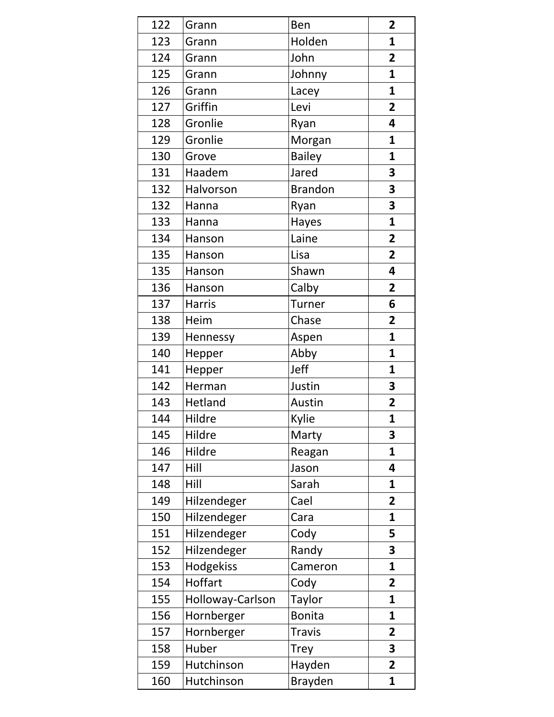| 122 | Grann            | Ben            | $\overline{2}$          |
|-----|------------------|----------------|-------------------------|
| 123 | Grann            | Holden         | $\mathbf{1}$            |
| 124 | Grann            | John           | $\overline{2}$          |
| 125 | Grann            | Johnny         | $\mathbf{1}$            |
| 126 | Grann            | Lacey          | $\mathbf{1}$            |
| 127 | Griffin          | Levi           | $\overline{2}$          |
| 128 | Gronlie          | Ryan           | 4                       |
| 129 | Gronlie          | Morgan         | $\mathbf{1}$            |
| 130 | Grove            | <b>Bailey</b>  | $\mathbf{1}$            |
| 131 | Haadem           | Jared          | 3                       |
| 132 | Halvorson        | <b>Brandon</b> | 3                       |
| 132 | Hanna            | Ryan           | 3                       |
| 133 | Hanna            | Hayes          | $\mathbf{1}$            |
| 134 | Hanson           | Laine          | $\overline{2}$          |
| 135 | Hanson           | Lisa           | $\overline{2}$          |
| 135 | Hanson           | Shawn          | 4                       |
| 136 | Hanson           | Calby          | $\overline{2}$          |
| 137 | <b>Harris</b>    | <b>Turner</b>  | 6                       |
| 138 | Heim             | Chase          | $\overline{2}$          |
| 139 | Hennessy         | Aspen          | $\mathbf{1}$            |
| 140 | Hepper           | Abby           | $\mathbf{1}$            |
| 141 | Hepper           | Jeff           | $\mathbf{1}$            |
| 142 | Herman           | Justin         | 3                       |
| 143 | Hetland          | Austin         | $\overline{\mathbf{2}}$ |
| 144 | Hildre           | Kylie          | 1                       |
| 145 | Hildre           | Marty          | 3                       |
| 146 | Hildre           | Reagan         | $\mathbf{1}$            |
| 147 | Hill             | Jason          | 4                       |
| 148 | Hill             | Sarah          | $\mathbf{1}$            |
| 149 | Hilzendeger      | Cael           | $\overline{2}$          |
| 150 | Hilzendeger      | Cara           | $\mathbf{1}$            |
| 151 | Hilzendeger      | Cody           | 5                       |
| 152 | Hilzendeger      | Randy          | 3                       |
| 153 | Hodgekiss        | Cameron        | $\mathbf{1}$            |
| 154 | Hoffart          | Cody           | $\overline{2}$          |
| 155 | Holloway-Carlson | <b>Taylor</b>  | $\mathbf{1}$            |
| 156 | Hornberger       | <b>Bonita</b>  | 1                       |
| 157 | Hornberger       | <b>Travis</b>  | $\overline{2}$          |
| 158 | Huber            | <b>Trey</b>    | 3                       |
| 159 | Hutchinson       | Hayden         | $\overline{2}$          |
| 160 | Hutchinson       | <b>Brayden</b> | 1                       |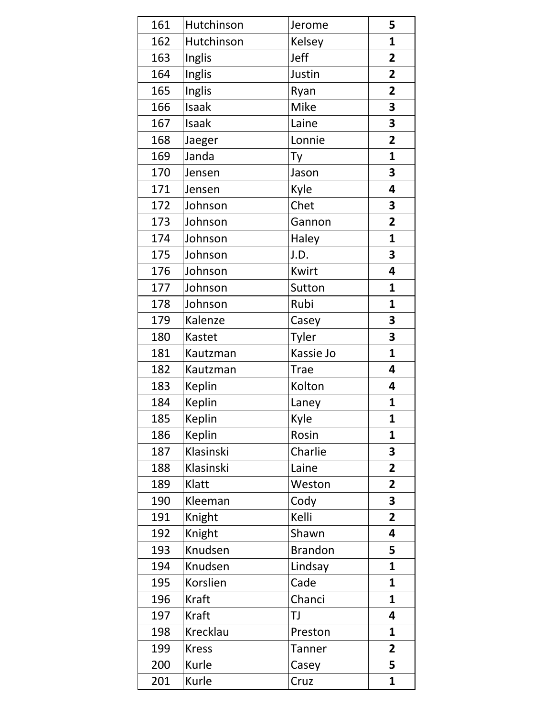| 161 | Hutchinson   | Jerome         | 5                       |
|-----|--------------|----------------|-------------------------|
| 162 | Hutchinson   | Kelsey         | $\mathbf{1}$            |
| 163 | Inglis       | Jeff           | $\overline{2}$          |
| 164 | Inglis       | Justin         | $\overline{2}$          |
| 165 | Inglis       | Ryan           | $\overline{2}$          |
| 166 | Isaak        | Mike           | 3                       |
| 167 | Isaak        | Laine          | 3                       |
| 168 | Jaeger       | Lonnie         | $\overline{2}$          |
| 169 | Janda        | Ty             | $\mathbf{1}$            |
| 170 | Jensen       | Jason          | 3                       |
| 171 | Jensen       | Kyle           | 4                       |
| 172 | Johnson      | Chet           | 3                       |
| 173 | Johnson      | Gannon         | $\overline{2}$          |
| 174 | Johnson      | Haley          | $\mathbf{1}$            |
| 175 | Johnson      | J.D.           | 3                       |
| 176 | Johnson      | Kwirt          | 4                       |
| 177 | Johnson      | Sutton         | 1                       |
| 178 | Johnson      | Rubi           | $\mathbf{1}$            |
| 179 | Kalenze      | Casey          | 3                       |
| 180 | Kastet       | <b>Tyler</b>   | 3                       |
| 181 | Kautzman     | Kassie Jo      | $\mathbf{1}$            |
| 182 | Kautzman     | <b>Trae</b>    | 4                       |
| 183 | Keplin       | Kolton         | 4                       |
| 184 | Keplin       | Laney          | $\mathbf{1}$            |
| 185 | Keplin       | Kyle           | 1                       |
| 186 | Keplin       | Rosin          | $\mathbf{1}$            |
| 187 | Klasinski    | Charlie        | 3                       |
| 188 | Klasinski    | Laine          | $\overline{2}$          |
| 189 | Klatt        | Weston         | $\overline{\mathbf{2}}$ |
| 190 | Kleeman      | Cody           | $\overline{\mathbf{3}}$ |
| 191 | Knight       | Kelli          | $\overline{\mathbf{2}}$ |
| 192 | Knight       | Shawn          | 4                       |
| 193 | Knudsen      | <b>Brandon</b> | 5                       |
| 194 | Knudsen      | Lindsay        | $\mathbf{1}$            |
| 195 | Korslien     | Cade           | $\mathbf{1}$            |
| 196 | Kraft        | Chanci         | $\mathbf{1}$            |
| 197 | Kraft        | TJ             | 4                       |
| 198 | Krecklau     | Preston        | 1                       |
| 199 | <b>Kress</b> | <b>Tanner</b>  | $\overline{\mathbf{2}}$ |
| 200 | Kurle        | Casey          | 5                       |
| 201 | Kurle        | Cruz           | 1                       |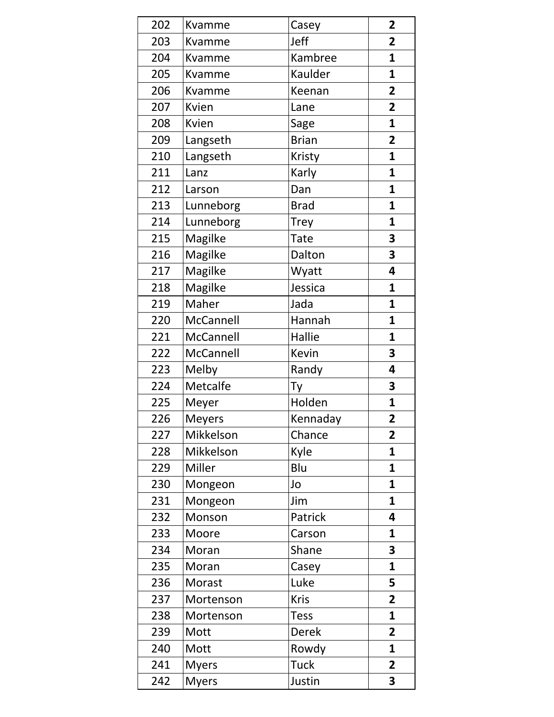| 202 | Kvamme       | Casey        | $\overline{2}$ |
|-----|--------------|--------------|----------------|
| 203 | Kvamme       | Jeff         | $\overline{2}$ |
| 204 | Kvamme       | Kambree      | $\mathbf{1}$   |
| 205 | Kvamme       | Kaulder      | $\mathbf{1}$   |
| 206 | Kvamme       | Keenan       | $\overline{2}$ |
| 207 | Kvien        | Lane         | $\overline{2}$ |
| 208 | Kvien        | Sage         | $\mathbf{1}$   |
| 209 | Langseth     | <b>Brian</b> | $\overline{2}$ |
| 210 | Langseth     | Kristy       | $\mathbf{1}$   |
| 211 | Lanz         | Karly        | $\mathbf{1}$   |
| 212 | Larson       | Dan          | $\mathbf{1}$   |
| 213 | Lunneborg    | <b>Brad</b>  | $\mathbf{1}$   |
| 214 | Lunneborg    | <b>Trey</b>  | $\mathbf{1}$   |
| 215 | Magilke      | <b>Tate</b>  | 3              |
| 216 | Magilke      | Dalton       | 3              |
| 217 | Magilke      | Wyatt        | 4              |
| 218 | Magilke      | Jessica      | 1              |
| 219 | Maher        | Jada         | $\mathbf{1}$   |
| 220 | McCannell    | Hannah       | 1              |
| 221 | McCannell    | Hallie       | 1              |
| 222 | McCannell    | Kevin        | 3              |
| 223 | Melby        | Randy        | 4              |
| 224 | Metcalfe     | Ty           | 3              |
| 225 | Meyer        | Holden       | 1              |
| 226 | Meyers       | Kennaday     | 2              |
| 227 | Mikkelson    | Chance       | $\overline{2}$ |
| 228 | Mikkelson    | Kyle         | $\mathbf{1}$   |
| 229 | Miller       | Blu          | $\mathbf{1}$   |
| 230 | Mongeon      | Jo           | $\mathbf{1}$   |
| 231 | Mongeon      | Jim          | $\mathbf{1}$   |
| 232 | Monson       | Patrick      | 4              |
| 233 | Moore        | Carson       | 1              |
| 234 | Moran        | Shane        | 3              |
| 235 | Moran        | Casey        | $\mathbf{1}$   |
| 236 | Morast       | Luke         | 5              |
| 237 | Mortenson    | <b>Kris</b>  | $\overline{2}$ |
| 238 | Mortenson    | <b>Tess</b>  | $\mathbf{1}$   |
| 239 | Mott         | <b>Derek</b> | $\overline{2}$ |
| 240 | Mott         | Rowdy        | 1              |
| 241 | <b>Myers</b> | <b>Tuck</b>  | 2              |
| 242 | <b>Myers</b> | Justin       | 3              |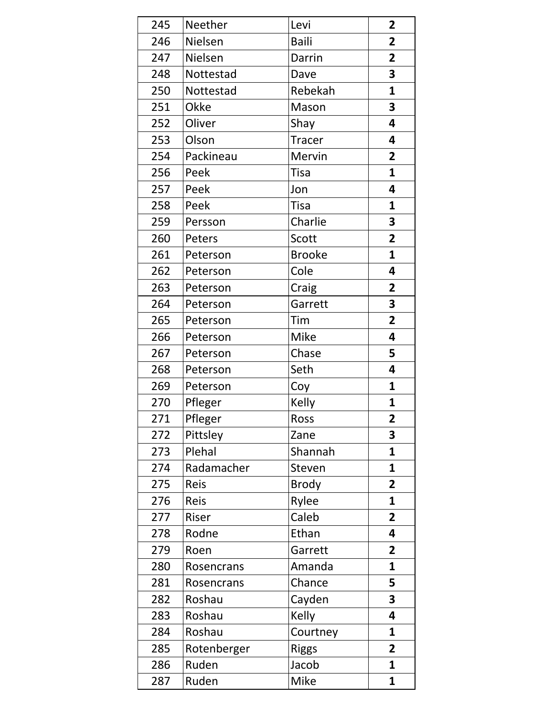| 245 | Neether     | Levi          | $\overline{2}$          |
|-----|-------------|---------------|-------------------------|
| 246 | Nielsen     | <b>Baili</b>  | $\overline{2}$          |
| 247 | Nielsen     | Darrin        | $\overline{2}$          |
| 248 | Nottestad   | Dave          | 3                       |
| 250 | Nottestad   | Rebekah       | $\mathbf{1}$            |
| 251 | Okke        | Mason         | 3                       |
| 252 | Oliver      | Shay          | 4                       |
| 253 | Olson       | <b>Tracer</b> | 4                       |
| 254 | Packineau   | Mervin        | $\overline{2}$          |
| 256 | Peek        | <b>Tisa</b>   | $\mathbf{1}$            |
| 257 | Peek        | Jon           | 4                       |
| 258 | Peek        | Tisa          | $\mathbf{1}$            |
| 259 | Persson     | Charlie       | 3                       |
| 260 | Peters      | Scott         | $\overline{2}$          |
| 261 | Peterson    | <b>Brooke</b> | 1                       |
| 262 | Peterson    | Cole          | 4                       |
| 263 | Peterson    | Craig         | $\overline{2}$          |
| 264 | Peterson    | Garrett       | 3                       |
| 265 | Peterson    | Tim           | $\overline{2}$          |
| 266 | Peterson    | <b>Mike</b>   | 4                       |
| 267 | Peterson    | Chase         | 5                       |
| 268 | Peterson    | Seth          | 4                       |
| 269 | Peterson    | Coy           | 1                       |
| 270 | Pfleger     | Kelly         | 1                       |
| 271 | Pfleger     | <b>Ross</b>   | 2                       |
| 272 | Pittsley    | Zane          | 3                       |
| 273 | Plehal      | Shannah       | $\mathbf{1}$            |
| 274 | Radamacher  | Steven        | 1                       |
| 275 | <b>Reis</b> | <b>Brody</b>  | $\overline{2}$          |
| 276 | Reis        | Rylee         | $\mathbf{1}$            |
| 277 | Riser       | Caleb         | $\overline{2}$          |
| 278 | Rodne       | Ethan         | 4                       |
| 279 | Roen        | Garrett       | $\overline{2}$          |
| 280 | Rosencrans  | Amanda        | 1                       |
| 281 | Rosencrans  | Chance        | 5                       |
| 282 | Roshau      | Cayden        | $\overline{\mathbf{3}}$ |
| 283 | Roshau      | Kelly         | 4                       |
| 284 | Roshau      | Courtney      | 1                       |
| 285 | Rotenberger | <b>Riggs</b>  | $\overline{2}$          |
| 286 | Ruden       | Jacob         | 1                       |
| 287 | Ruden       | <b>Mike</b>   | 1                       |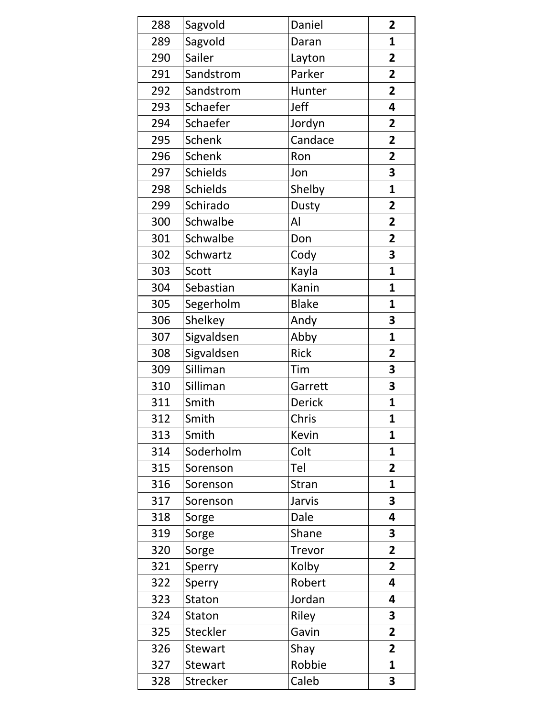| 288 | Sagvold         | Daniel        | $\overline{2}$          |
|-----|-----------------|---------------|-------------------------|
| 289 | Sagvold         | Daran         | 1                       |
| 290 | Sailer          | Layton        | $\overline{2}$          |
| 291 | Sandstrom       | Parker        | $\overline{\mathbf{2}}$ |
| 292 | Sandstrom       | Hunter        | $\overline{2}$          |
| 293 | Schaefer        | Jeff          | 4                       |
| 294 | Schaefer        | Jordyn        | $\overline{2}$          |
| 295 | <b>Schenk</b>   | Candace       | $\overline{2}$          |
| 296 | <b>Schenk</b>   | Ron           | $\overline{2}$          |
| 297 | <b>Schields</b> | Jon           | 3                       |
| 298 | <b>Schields</b> | Shelby        | 1                       |
| 299 | Schirado        | Dusty         | 2                       |
| 300 | Schwalbe        | Al            | 2                       |
| 301 | Schwalbe        | Don           | $\overline{2}$          |
| 302 | Schwartz        | Cody          | 3                       |
| 303 | Scott           | Kayla         | 1                       |
| 304 | Sebastian       | Kanin         | 1                       |
| 305 | Segerholm       | <b>Blake</b>  | 1                       |
| 306 | Shelkey         | Andy          | 3                       |
| 307 | Sigvaldsen      | Abby          | 1                       |
| 308 | Sigvaldsen      | <b>Rick</b>   | 2                       |
| 309 | Silliman        | Tim           | 3                       |
| 310 | Silliman        | Garrett       | 3                       |
| 311 | Smith           | Derick        | $\mathbf 1$             |
| 312 | Smith           | Chris         | 1                       |
| 313 | Smith           | Kevin         | 1                       |
| 314 | Soderholm       | Colt          | 1                       |
| 315 | Sorenson        | Tel           | $\overline{2}$          |
| 316 | Sorenson        | <b>Stran</b>  | $\mathbf{1}$            |
| 317 | Sorenson        | Jarvis        | 3                       |
| 318 | Sorge           | Dale          | 4                       |
| 319 | Sorge           | Shane         | 3                       |
| 320 | Sorge           | <b>Trevor</b> | $\overline{2}$          |
| 321 | Sperry          | Kolby         | $\overline{2}$          |
| 322 | Sperry          | Robert        | 4                       |
| 323 | Staton          | Jordan        | 4                       |
| 324 | Staton          | Riley         | 3                       |
| 325 | Steckler        | Gavin         | $\overline{2}$          |
| 326 | <b>Stewart</b>  | Shay          | $\overline{2}$          |
| 327 | <b>Stewart</b>  | Robbie        | 1                       |
| 328 | <b>Strecker</b> | Caleb         | 3                       |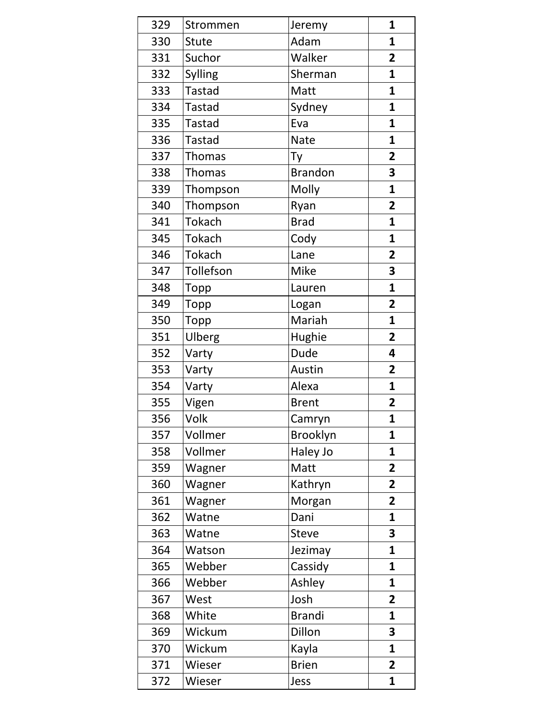| 329 | Strommen      | Jeremy          | $\mathbf{1}$            |
|-----|---------------|-----------------|-------------------------|
| 330 | Stute         | Adam            | $\mathbf{1}$            |
| 331 | Suchor        | Walker          | $\overline{2}$          |
| 332 | Sylling       | Sherman         | $\mathbf{1}$            |
| 333 | <b>Tastad</b> | Matt            | $\mathbf{1}$            |
| 334 | <b>Tastad</b> | Sydney          | $\mathbf{1}$            |
| 335 | <b>Tastad</b> | Eva             | $\mathbf{1}$            |
| 336 | <b>Tastad</b> | <b>Nate</b>     | $\mathbf{1}$            |
| 337 | <b>Thomas</b> | Ty              | $\overline{2}$          |
| 338 | <b>Thomas</b> | <b>Brandon</b>  | 3                       |
| 339 | Thompson      | Molly           | $\mathbf{1}$            |
| 340 | Thompson      | Ryan            | $\overline{2}$          |
| 341 | <b>Tokach</b> | <b>Brad</b>     | $\mathbf{1}$            |
| 345 | Tokach        | Cody            | $\mathbf{1}$            |
| 346 | Tokach        | Lane            | $\overline{2}$          |
| 347 | Tollefson     | Mike            | 3                       |
| 348 | Topp          | Lauren          | $\mathbf{1}$            |
| 349 | Topp          | Logan           | $\overline{\mathbf{2}}$ |
| 350 | Topp          | Mariah          | 1                       |
| 351 | Ulberg        | Hughie          | $\overline{2}$          |
| 352 | Varty         | Dude            | 4                       |
| 353 | Varty         | Austin          | $\overline{2}$          |
| 354 | Varty         | Alexa           | $\mathbf{1}$            |
| 355 | Vigen         | <b>Brent</b>    | 2                       |
| 356 | Volk          | Camryn          | $\overline{1}$          |
| 357 | Vollmer       | <b>Brooklyn</b> | 1                       |
| 358 | Vollmer       | Haley Jo        | $\mathbf{1}$            |
| 359 | Wagner        | Matt            | $\mathbf{2}$            |
| 360 | Wagner        | Kathryn         | $\overline{2}$          |
| 361 | Wagner        | Morgan          | $\overline{2}$          |
| 362 | Watne         | Dani            | $\mathbf{1}$            |
| 363 | Watne         | <b>Steve</b>    | 3                       |
| 364 | Watson        | Jezimay         | $\mathbf{1}$            |
| 365 | Webber        | Cassidy         | 1                       |
| 366 | Webber        | Ashley          | 1                       |
| 367 | West          | Josh            | $\overline{2}$          |
| 368 | White         | <b>Brandi</b>   | 1                       |
| 369 | Wickum        | Dillon          | 3                       |
| 370 | Wickum        | Kayla           | 1                       |
| 371 | Wieser        | <b>Brien</b>    | $\mathbf{2}$            |
| 372 | Wieser        | Jess            | 1                       |